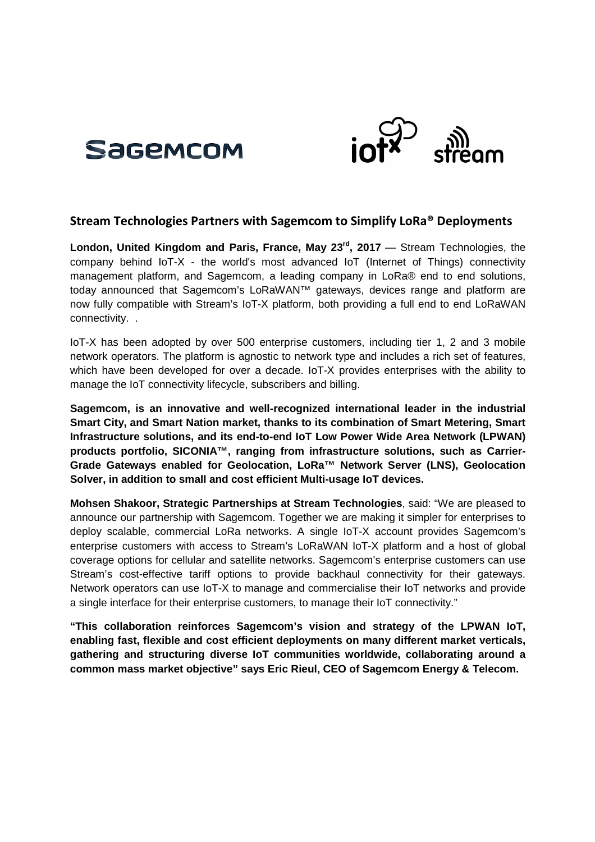



## **Stream Technologies Partners with Sagemcom to Simplify LoRa® Deployments**

**London, United Kingdom and Paris, France, May 23rd, 2017** — Stream Technologies, the company behind IoT-X - the world's most advanced IoT (Internet of Things) connectivity management platform, and Sagemcom, a leading company in LoRa® end to end solutions, today announced that Sagemcom's LoRaWAN™ gateways, devices range and platform are now fully compatible with Stream's IoT-X platform, both providing a full end to end LoRaWAN connectivity. .

IoT-X has been adopted by over 500 enterprise customers, including tier 1, 2 and 3 mobile network operators. The platform is agnostic to network type and includes a rich set of features, which have been developed for over a decade. IoT-X provides enterprises with the ability to manage the IoT connectivity lifecycle, subscribers and billing.

**Sagemcom, is an innovative and well-recognized international leader in the industrial Smart City, and Smart Nation market, thanks to its combination of Smart Metering, Smart Infrastructure solutions, and its end-to-end IoT Low Power Wide Area Network (LPWAN) products portfolio, SICONIA™, ranging from infrastructure solutions, such as Carrier-Grade Gateways enabled for Geolocation, LoRa™ Network Server (LNS), Geolocation Solver, in addition to small and cost efficient Multi-usage IoT devices.** 

**Mohsen Shakoor, Strategic Partnerships at Stream Technologies**, said: "We are pleased to announce our partnership with Sagemcom. Together we are making it simpler for enterprises to deploy scalable, commercial LoRa networks. A single IoT-X account provides Sagemcom's enterprise customers with access to Stream's LoRaWAN IoT-X platform and a host of global coverage options for cellular and satellite networks. Sagemcom's enterprise customers can use Stream's cost-effective tariff options to provide backhaul connectivity for their gateways. Network operators can use IoT-X to manage and commercialise their IoT networks and provide a single interface for their enterprise customers, to manage their IoT connectivity."

**"This collaboration reinforces Sagemcom's vision and strategy of the LPWAN IoT, enabling fast, flexible and cost efficient deployments on many different market verticals, gathering and structuring diverse IoT communities worldwide, collaborating around a common mass market objective" says Eric Rieul, CEO of Sagemcom Energy & Telecom.**